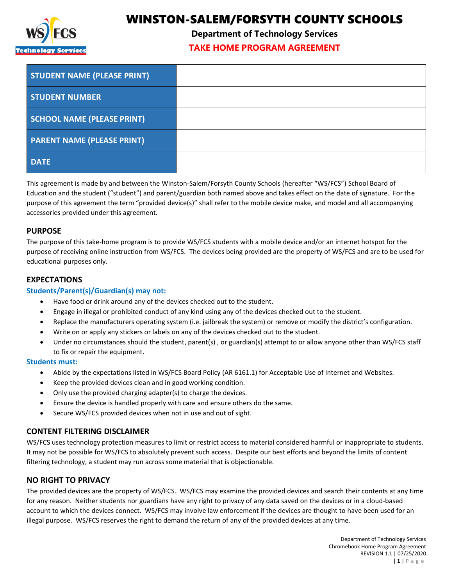

# WINSTON-SALEM/FORSYTH COUNTY SCHOOLS

**Department of Technology Services**

# **TAKE HOME PROGRAM AGREEMENT**

| <b>STUDENT NAME (PLEASE PRINT)</b> |  |
|------------------------------------|--|
| <b>STUDENT NUMBER</b>              |  |
| <b>SCHOOL NAME (PLEASE PRINT)</b>  |  |
| <b>PARENT NAME (PLEASE PRINT)</b>  |  |
| <b>DATE</b>                        |  |

This agreement is made by and between the Winston-Salem/Forsyth County Schools (hereafter "WS/FCS") School Board of Education and the student ("student") and parent/guardian both named above and takes effect on the date of signature. For the purpose of this agreement the term "provided device(s)" shall refer to the mobile device make, and model and all accompanying accessories provided under this agreement.

## **PURPOSE**

The purpose of this take-home program is to provide WS/FCS students with a mobile device and/or an internet hotspot for the purpose of receiving online instruction from WS/FCS. The devices being provided are the property of WS/FCS and are to be used for educational purposes only.

## **EXPECTATIONS**

### **Students/Parent(s)/Guardian(s) may not:**

- Have food or drink around any of the devices checked out to the student.
- Engage in illegal or prohibited conduct of any kind using any of the devices checked out to the student.
- Replace the manufacturers operating system (i.e. jailbreak the system) or remove or modify the district's configuration.
- Write on or apply any stickers or labels on any of the devices checked out to the student.
- Under no circumstances should the student, parent(s) , or guardian(s) attempt to or allow anyone other than WS/FCS staff to fix or repair the equipment.

#### **Students must:**

- Abide by the expectations listed in WS/FCS Board Policy (AR 6161.1) for Acceptable Use of Internet and Websites.
- Keep the provided devices clean and in good working condition.
- Only use the provided charging adapter(s) to charge the devices.
- Ensure the device is handled properly with care and ensure others do the same.
- Secure WS/FCS provided devices when not in use and out of sight.

# **CONTENT FILTERING DISCLAIMER**

WS/FCS uses technology protection measures to limit or restrict access to material considered harmful or inappropriate to students. It may not be possible for WS/FCS to absolutely prevent such access. Despite our best efforts and beyond the limits of content filtering technology, a student may run across some material that is objectionable.

## **NO RIGHT TO PRIVACY**

The provided devices are the property of WS/FCS. WS/FCS may examine the provided devices and search their contents at any time for any reason. Neither students nor guardians have any right to privacy of any data saved on the devices or in a cloud-based account to which the devices connect. WS/FCS may involve law enforcement if the devices are thought to have been used for an illegal purpose. WS/FCS reserves the right to demand the return of any of the provided devices at any time.